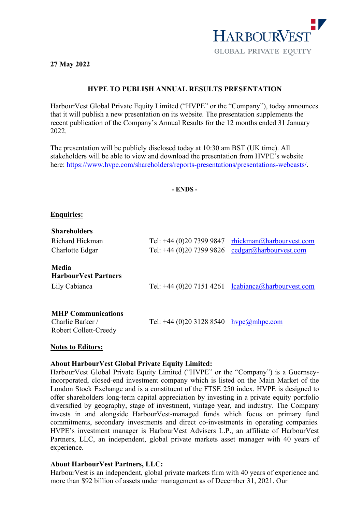

**27 May 2022**

# **HVPE TO PUBLISH ANNUAL RESULTS PRESENTATION**

HarbourVest Global Private Equity Limited ("HVPE" or the "Company"), today announces that it will publish a new presentation on its website. The presentation supplements the recent publication of the Company's Annual Results for the 12 months ended 31 January 2022

The presentation will be publicly disclosed today at 10:30 am BST (UK time). All stakeholders will be able to view and download the presentation from HVPE's website here: [https://www.hvpe.com/shareholders/reports-presentations/presentations-webcasts/.](https://www.hvpe.com/shareholders/reports-presentations/presentations-webcasts/)

**- ENDS -**

## **Enquiries:**

| <b>Shareholders</b>                                                    |                                        |                                                       |
|------------------------------------------------------------------------|----------------------------------------|-------------------------------------------------------|
| Richard Hickman                                                        | Tel: +44 (0)20 7399 9847               | rhickman@harbourvest.com                              |
| Charlotte Edgar                                                        | Tel: +44 (0)20 7399 9826               | cedgar@harbourvest.com                                |
| Media<br><b>HarbourVest Partners</b><br>Lily Cabianca                  |                                        | Tel: +44 (0)20 7151 4261 $l$ cabianca@harbourvest.com |
| <b>MHP Communications</b><br>Charlie Barker /<br>Robert Collett-Creedy | Tel: +44 (0)20 3128 8540 hype@mhpc.com |                                                       |

### **Notes to Editors:**

### **About HarbourVest Global Private Equity Limited:**

HarbourVest Global Private Equity Limited ("HVPE" or the "Company") is a Guernseyincorporated, closed-end investment company which is listed on the Main Market of the London Stock Exchange and is a constituent of the FTSE 250 index. HVPE is designed to offer shareholders long-term capital appreciation by investing in a private equity portfolio diversified by geography, stage of investment, vintage year, and industry. The Company invests in and alongside HarbourVest-managed funds which focus on primary fund commitments, secondary investments and direct co-investments in operating companies. HVPE's investment manager is HarbourVest Advisers L.P., an affiliate of HarbourVest Partners, LLC, an independent, global private markets asset manager with 40 years of experience.

# **About HarbourVest Partners, LLC:**

HarbourVest is an independent, global private markets firm with 40 years of experience and more than \$92 billion of assets under management as of December 31, 2021. Our